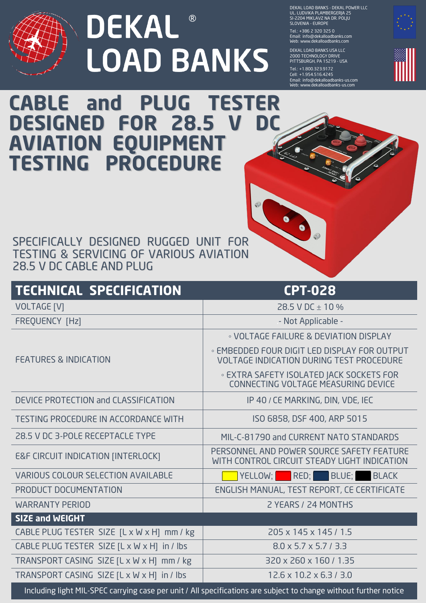

## ® **LOAD BANKS**

DEKAL LOAD BANKS - DEKAL POWER LLC UL. LUDVIKA PLAMBERGERJA 25 SI-2204 MIKLAVZ NA DR. POLJU SLOVENIA - EUROPE

Tel.: + 386 2 320 325 0 Email: info@dekalloadbanks.com Web: www.dekalloadbanks.com

DEKAL LOAD BANKS USA LLC 2000 TECHNOLOGY DRIVE PITTSBURGH, PA 15219 - USA

Tel.: +1.800.323.9172 Cell: + 1.954.516.4245 Email: info@dekalloadbanks-us.com Web: www.dekalloadbanks-us.com



## **CABLE and PLUG TESTER DESIGNED FOR 28.5 V DC AVIATION EQUIPMENT TESTING PROCEDURE**

SPECIFICALLY DESIGNED RUGGED UNIT FOR TESTING & SERVICING OF VARIOUS AVIATION 28.5 V DC CABLE AND PLUG

| <b>TECHNICAL SPECIFICATION</b>                                                                                    | <b>CPT-028</b>                                                                                  |
|-------------------------------------------------------------------------------------------------------------------|-------------------------------------------------------------------------------------------------|
| <b>VOLTAGE [V]</b>                                                                                                | 28.5 V DC $\pm$ 10 %                                                                            |
| <b>FREQUENCY [Hz]</b>                                                                                             | - Not Applicable -                                                                              |
|                                                                                                                   | • VOLTAGE FAILURE & DEVIATION DISPLAY                                                           |
| <b>FEATURES &amp; INDICATION</b>                                                                                  | • EMBEDDED FOUR DIGIT LED DISPLAY FOR OUTPUT<br><b>VOLTAGE INDICATION DURING TEST PROCEDURE</b> |
|                                                                                                                   | <b>EXTRA SAFETY ISOLATED JACK SOCKETS FOR</b><br>CONNECTING VOLTAGE MEASURING DEVICE            |
| DEVICE PROTECTION and CLASSIFICATION                                                                              | IP 40 / CE MARKING, DIN, VDE, IEC                                                               |
| <b>TESTING PROCEDURE IN ACCORDANCE WITH</b>                                                                       | ISO 6858, DSF 400, ARP 5015                                                                     |
| 28.5 V DC 3-POLE RECEPTACLE TYPE                                                                                  | MIL-C-81790 and CURRENT NATO STANDARDS                                                          |
| <b>E&amp;F CIRCUIT INDICATION [INTERLOCK]</b>                                                                     | PERSONNEL AND POWER SOURCE SAFETY FEATURE<br>WITH CONTROL CIRCUIT STEADY LIGHT INDICATION       |
| <b>VARIOUS COLOUR SELECTION AVAILABLE</b>                                                                         | YELLOW; RED; BLUE;<br><b>BLACK</b>                                                              |
| PRODUCT DOCUMENTATION                                                                                             | <b>ENGLISH MANUAL, TEST REPORT, CE CERTIFICATE</b>                                              |
| <b>WARRANTY PERIOD</b>                                                                                            | 2 YEARS / 24 MONTHS                                                                             |
| <b>SIZE and WEIGHT</b>                                                                                            |                                                                                                 |
| CABLE PLUG TESTER SIZE [L x W x H] mm / kg                                                                        | 205 x 145 x 145 / 1.5                                                                           |
| CABLE PLUG TESTER SIZE [L x W x H] in / lbs                                                                       | $8.0 \times 5.7 \times 5.7 / 3.3$                                                               |
| TRANSPORT CASING SIZE [L x W x H] mm / kg                                                                         | 320 x 260 x 160 / 1.35                                                                          |
| TRANSPORT CASING SIZE [L x W x H] in / lbs                                                                        | $12.6 \times 10.2 \times 6.3 / 3.0$                                                             |
| Including light MIL-SPEC carrying case per unit / All specifications are subject to change without further notice |                                                                                                 |